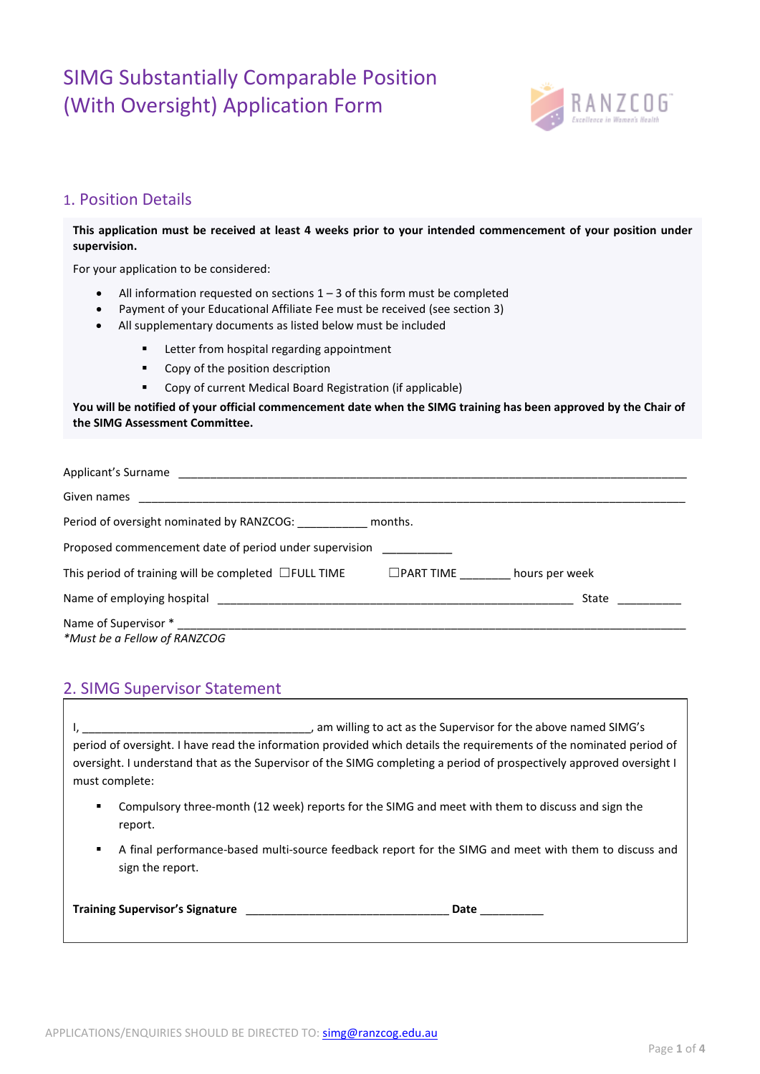## SIMG Substantially Comparable Position (With Oversight) Application Form



### 1. Position Details

**This application must be received at least 4 weeks prior to your intended commencement of your position under supervision.**

For your application to be considered:

- All information requested on sections  $1 3$  of this form must be completed
- Payment of your Educational Affiliate Fee must be received (see section 3)
	- All supplementary documents as listed below must be included
		- **EXECUTE:** Letter from hospital regarding appointment
		- Copy of the position description
		- Copy of current Medical Board Registration (if applicable)

**You will be notified of your official commencement date when the SIMG training has been approved by the Chair of the SIMG Assessment Committee.**

| Given names                                                |                  |                |
|------------------------------------------------------------|------------------|----------------|
| Period of oversight nominated by RANZCOG: months.          |                  |                |
| Proposed commencement date of period under supervision     |                  |                |
| This period of training will be completed $\Box$ FULL TIME | $\Box$ PART TIME | hours per week |
|                                                            |                  | State          |
|                                                            |                  |                |
| *Must be a Fellow of RANZCOG                               |                  |                |

### 2. SIMG Supervisor Statement

I, \_\_\_\_\_\_\_\_\_\_\_\_\_\_\_\_\_\_\_\_\_\_\_\_\_\_\_\_\_\_\_\_\_\_\_\_, am willing to act as the Supervisor for the above named SIMG's period of oversight. I have read the information provided which details the requirements of the nominated period of oversight. I understand that as the Supervisor of the SIMG completing a period of prospectively approved oversight I must complete:

- Compulsory three-month (12 week) reports for the SIMG and meet with them to discuss and sign the report.
- A final performance-based multi-source feedback report for the SIMG and meet with them to discuss and sign the report.

| <b>Training Supervisor's Signature</b> |  | Date |  |
|----------------------------------------|--|------|--|
|----------------------------------------|--|------|--|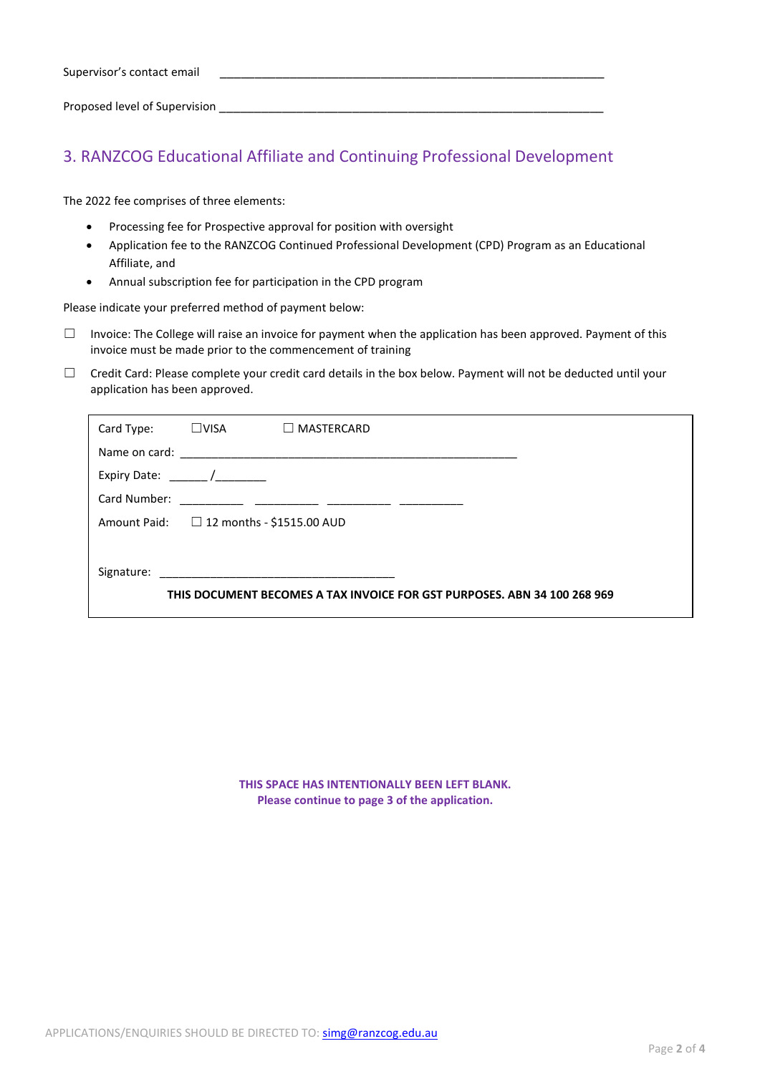Proposed level of Supervision **Example 20** 

### 3. RANZCOG Educational Affiliate and Continuing Professional Development

The 2022 fee comprises of three elements:

- Processing fee for Prospective approval for position with oversight
- Application fee to the RANZCOG Continued Professional Development (CPD) Program as an Educational Affiliate, and
- Annual subscription fee for participation in the CPD program

Please indicate your preferred method of payment below:

- $\Box$  Invoice: The College will raise an invoice for payment when the application has been approved. Payment of this invoice must be made prior to the commencement of training
- $\Box$  Credit Card: Please complete your credit card details in the box below. Payment will not be deducted until your application has been approved.

| Card Type:                                                               | $\square$ VISA | $\Box$ MASTERCARD                             |  |  |
|--------------------------------------------------------------------------|----------------|-----------------------------------------------|--|--|
|                                                                          |                |                                               |  |  |
| Expiry Date: $\frac{1}{2}$                                               |                |                                               |  |  |
| Card Number:                                                             |                |                                               |  |  |
|                                                                          |                | Amount Paid: $\Box$ 12 months - \$1515.00 AUD |  |  |
|                                                                          |                |                                               |  |  |
| Signature:                                                               |                |                                               |  |  |
| THIS DOCUMENT BECOMES A TAX INVOICE FOR GST PURPOSES. ABN 34 100 268 969 |                |                                               |  |  |
|                                                                          |                |                                               |  |  |

**THIS SPACE HAS INTENTIONALLY BEEN LEFT BLANK. Please continue to page 3 of the application.**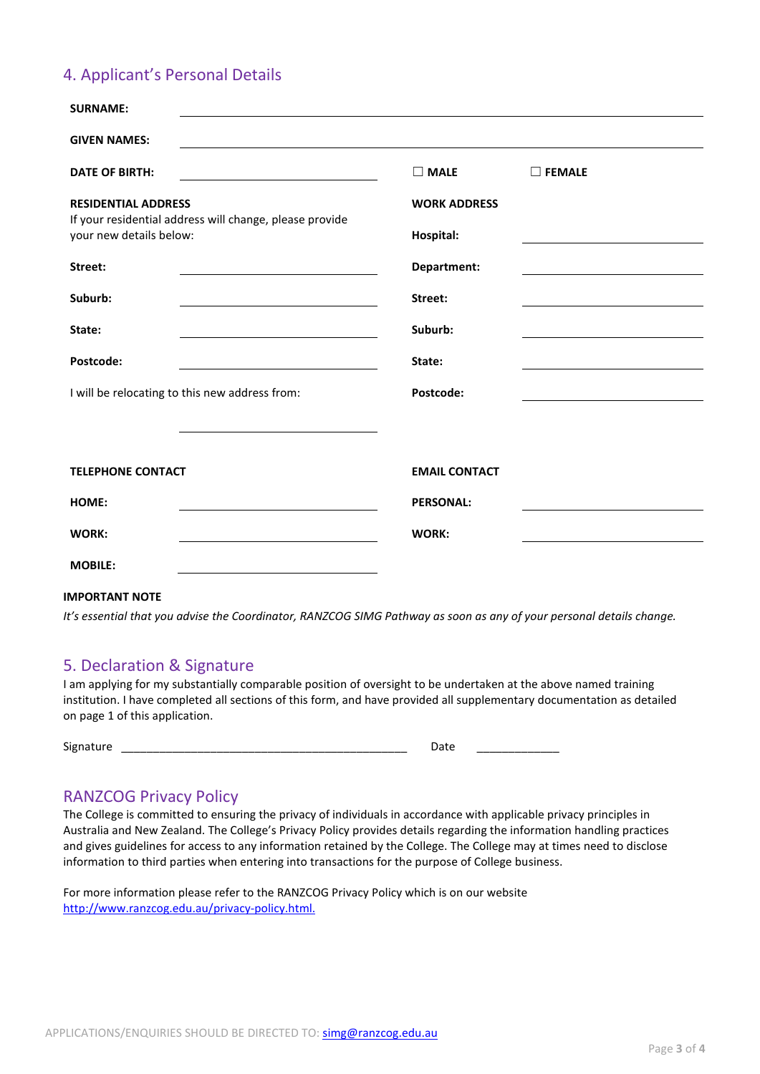## 4. Applicant's Personal Details

| <b>SURNAME:</b>                                                                    |                      |                  |
|------------------------------------------------------------------------------------|----------------------|------------------|
| <b>GIVEN NAMES:</b>                                                                |                      |                  |
| <b>DATE OF BIRTH:</b>                                                              | $\Box$ MALE          | $\square$ FEMALE |
| <b>RESIDENTIAL ADDRESS</b>                                                         | <b>WORK ADDRESS</b>  |                  |
| If your residential address will change, please provide<br>your new details below: | Hospital:            |                  |
| Street:                                                                            | Department:          |                  |
| Suburb:                                                                            | Street:              |                  |
| State:                                                                             | Suburb:              |                  |
| Postcode:                                                                          | State:               |                  |
| I will be relocating to this new address from:                                     | Postcode:            |                  |
|                                                                                    |                      |                  |
|                                                                                    |                      |                  |
| <b>TELEPHONE CONTACT</b>                                                           | <b>EMAIL CONTACT</b> |                  |
| HOME:                                                                              | <b>PERSONAL:</b>     |                  |
| <b>WORK:</b>                                                                       | WORK:                |                  |
| <b>MOBILE:</b>                                                                     |                      |                  |

#### **IMPORTANT NOTE**

*It's essential that you advise the Coordinator, RANZCOG SIMG Pathway as soon as any of your personal details change.*

#### 5. Declaration & Signature

I am applying for my substantially comparable position of oversight to be undertaken at the above named training institution. I have completed all sections of this form, and have provided all supplementary documentation as detailed on page 1 of this application.

Signature \_\_\_\_\_\_\_\_\_\_\_\_\_\_\_\_\_\_\_\_\_\_\_\_\_\_\_\_\_\_\_\_\_\_\_\_\_\_\_\_\_\_\_\_\_ Date \_\_\_\_\_\_\_\_\_\_\_\_\_

### RANZCOG Privacy Policy

The College is committed to ensuring the privacy of individuals in accordance with applicable privacy principles in Australia and New Zealand. The College's Privacy Policy provides details regarding the information handling practices and gives guidelines for access to any information retained by the College. The College may at times need to disclose information to third parties when entering into transactions for the purpose of College business.

For more information please refer to the RANZCOG Privacy Policy which is on our website [http://www.ranzcog.edu.au/privacy-policy.html.](http://www.ranzcog.edu.au/privacy-policy.html)